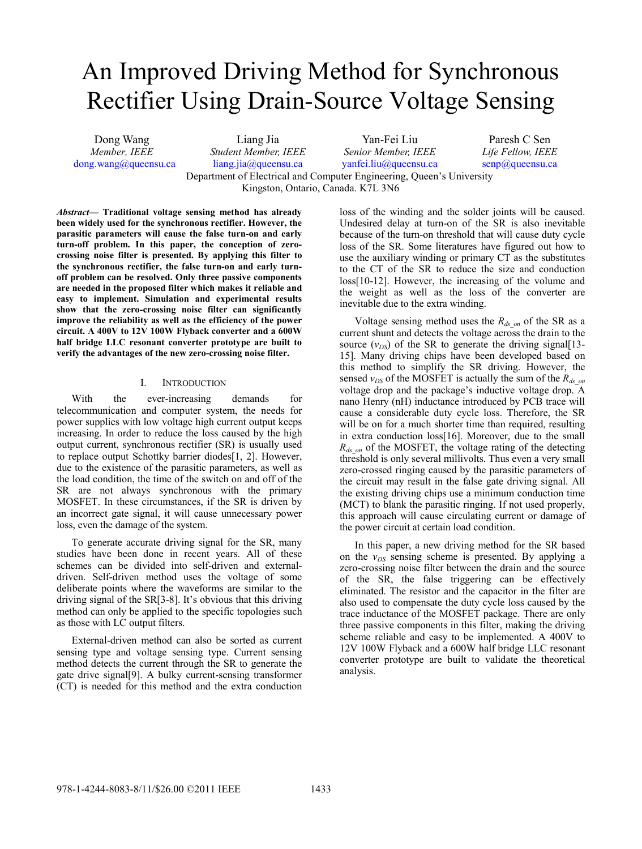# An Improved Driving Method for Synchronous Rectifier Using Drain-Source Voltage Sensing

Dong Wang *Member, IEEE*  dong.wang@queensu.ca

Liang Jia *Student Member, IEEE* liang.jia@queensu.ca Yan-Fei Liu *Senior Member, IEEE*  yanfei.liu@queensu.ca Paresh C Sen *Life Fellow, IEEE*  senp@queensu.ca Department of Electrical and Computer Engineering, Queen's University Kingston, Ontario, Canada. K7L 3N6

*Abstract***— Traditional voltage sensing method has already been widely used for the synchronous rectifier. However, the parasitic parameters will cause the false turn-on and early turn-off problem. In this paper, the conception of zerocrossing noise filter is presented. By applying this filter to the synchronous rectifier, the false turn-on and early turnoff problem can be resolved. Only three passive components are needed in the proposed filter which makes it reliable and easy to implement. Simulation and experimental results show that the zero-crossing noise filter can significantly improve the reliability as well as the efficiency of the power circuit. A 400V to 12V 100W Flyback converter and a 600W half bridge LLC resonant converter prototype are built to verify the advantages of the new zero-crossing noise filter.** 

#### I. INTRODUCTION

With the ever-increasing demands for telecommunication and computer system, the needs for power supplies with low voltage high current output keeps increasing. In order to reduce the loss caused by the high output current, synchronous rectifier (SR) is usually used to replace output Schottky barrier diodes[1, 2]. However, due to the existence of the parasitic parameters, as well as the load condition, the time of the switch on and off of the SR are not always synchronous with the primary MOSFET. In these circumstances, if the SR is driven by an incorrect gate signal, it will cause unnecessary power loss, even the damage of the system.

To generate accurate driving signal for the SR, many studies have been done in recent years. All of these schemes can be divided into self-driven and externaldriven. Self-driven method uses the voltage of some deliberate points where the waveforms are similar to the driving signal of the SR[3-8]. It's obvious that this driving method can only be applied to the specific topologies such as those with LC output filters.

External-driven method can also be sorted as current sensing type and voltage sensing type. Current sensing method detects the current through the SR to generate the gate drive signal[9]. A bulky current-sensing transformer (CT) is needed for this method and the extra conduction

loss of the winding and the solder joints will be caused. Undesired delay at turn-on of the SR is also inevitable because of the turn-on threshold that will cause duty cycle loss of the SR. Some literatures have figured out how to use the auxiliary winding or primary CT as the substitutes to the CT of the SR to reduce the size and conduction loss[10-12]. However, the increasing of the volume and the weight as well as the loss of the converter are inevitable due to the extra winding.

Voltage sensing method uses the  $R_{ds\_on}$  of the SR as a current shunt and detects the voltage across the drain to the source  $(v_{DS})$  of the SR to generate the driving signal<sup>[13-15]</sup> 15]. Many driving chips have been developed based on this method to simplify the SR driving. However, the sensed  $v_{DS}$  of the MOSFET is actually the sum of the  $R_{ds}$ <sub>on</sub> voltage drop and the package's inductive voltage drop. A nano Henry (nH) inductance introduced by PCB trace will cause a considerable duty cycle loss. Therefore, the SR will be on for a much shorter time than required, resulting in extra conduction loss[16]. Moreover, due to the small *R<sub>ds on</sub>* of the MOSFET, the voltage rating of the detecting threshold is only several millivolts. Thus even a very small zero-crossed ringing caused by the parasitic parameters of the circuit may result in the false gate driving signal. All the existing driving chips use a minimum conduction time (MCT) to blank the parasitic ringing. If not used properly, this approach will cause circulating current or damage of the power circuit at certain load condition.

In this paper, a new driving method for the SR based on the  $v_{DS}$  sensing scheme is presented. By applying a zero-crossing noise filter between the drain and the source of the SR, the false triggering can be effectively eliminated. The resistor and the capacitor in the filter are also used to compensate the duty cycle loss caused by the trace inductance of the MOSFET package. There are only three passive components in this filter, making the driving scheme reliable and easy to be implemented. A 400V to 12V 100W Flyback and a 600W half bridge LLC resonant converter prototype are built to validate the theoretical analysis.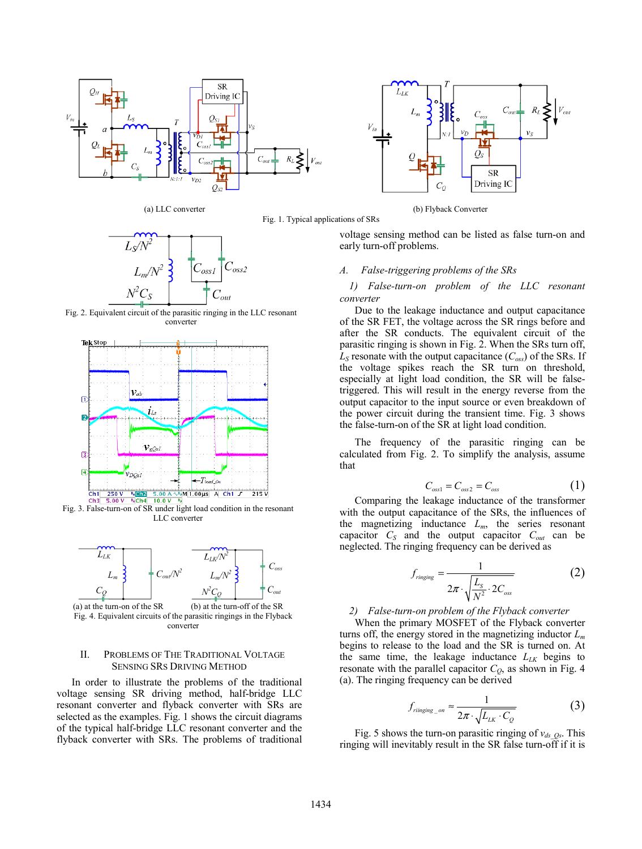



Fig. 2. Equivalent circuit of the parasitic ringing in the LLC resonant converter



Fig. 3. False-turn-on of SR under light load condition in the resonant LLC converter



converter

#### II. PROBLEMS OF THE TRADITIONAL VOLTAGE SENSING SRS DRIVING METHOD

In order to illustrate the problems of the traditional voltage sensing SR driving method, half-bridge LLC resonant converter and flyback converter with SRs are selected as the examples. Fig. 1 shows the circuit diagrams of the typical half-bridge LLC resonant converter and the flyback converter with SRs. The problems of traditional



(a) LLC converter (b) Flyback Converter

voltage sensing method can be listed as false turn-on and early turn-off problems.

#### *A. False-triggering problems of the SRs*

Fig. 1. Typical applications of SRs

## *1) False-turn-on problem of the LLC resonant converter*

Due to the leakage inductance and output capacitance of the SR FET, the voltage across the SR rings before and after the SR conducts. The equivalent circuit of the parasitic ringing is shown in Fig. 2. When the SRs turn off,  $L<sub>S</sub>$  resonate with the output capacitance ( $C<sub>oss</sub>$ ) of the SRs. If the voltage spikes reach the SR turn on threshold, especially at light load condition, the SR will be falsetriggered. This will result in the energy reverse from the output capacitor to the input source or even breakdown of the power circuit during the transient time. Fig. 3 shows the false-turn-on of the SR at light load condition.

The frequency of the parasitic ringing can be calculated from Fig. 2. To simplify the analysis, assume that

$$
C_{\text{oss1}} = C_{\text{oss2}} = C_{\text{oss}} \tag{1}
$$

Comparing the leakage inductance of the transformer with the output capacitance of the SRs, the influences of the magnetizing inductance  $L_m$ , the series resonant capacitor  $C_s$  and the output capacitor  $C_{out}$  can be neglected. The ringing frequency can be derived as

$$
f_{ringing} = \frac{1}{2\pi \cdot \sqrt{\frac{L_s}{N^2} \cdot 2C_{oss}}}
$$
 (2)

# *2) False-turn-on problem of the Flyback converter*

When the primary MOSFET of the Flyback converter turns off, the energy stored in the magnetizing inductor *Lm* begins to release to the load and the SR is turned on. At the same time, the leakage inductance  $L_{LK}$  begins to resonate with the parallel capacitor  $C<sub>Q</sub>$ , as shown in Fig. 4 (a). The ringing frequency can be derived

$$
f_{\text{ringing\_on}} \approx \frac{1}{2\pi \cdot \sqrt{L_{LK} \cdot C_Q}} \tag{3}
$$

Fig. 5 shows the turn-on parasitic ringing of  $v_{ds}$   $_{Os}$ . This ringing will inevitably result in the SR false turn-off if it is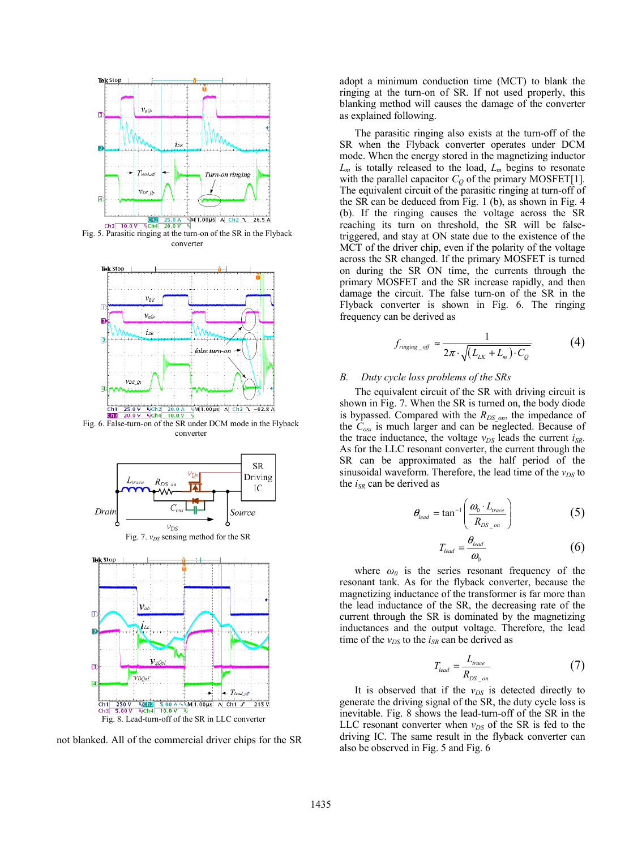

Fig. 5. Parasitic ringing at the turn-on of the SR in the Flyback converter



Fig. 6. False-turn-on of the SR under DCM mode in the Flyback converter



not blanked. All of the commercial driver chips for the SR

adopt a minimum conduction time (MCT) to blank the ringing at the turn-on of SR. If not used properly, this blanking method will causes the damage of the converter as explained following.

The parasitic ringing also exists at the turn-off of the SR when the Flyback converter operates under DCM mode. When the energy stored in the magnetizing inductor  $L_m$  is totally released to the load,  $L_m$  begins to resonate with the parallel capacitor  $C_Q$  of the primary MOSFET[1]. The equivalent circuit of the parasitic ringing at turn-off of the SR can be deduced from Fig. 1 (b), as shown in Fig. 4 (b). If the ringing causes the voltage across the SR reaching its turn on threshold, the SR will be falsetriggered, and stay at ON state due to the existence of the MCT of the driver chip, even if the polarity of the voltage across the SR changed. If the primary MOSFET is turned on during the SR ON time, the currents through the primary MOSFET and the SR increase rapidly, and then damage the circuit. The false turn-on of the SR in the Flyback converter is shown in Fig. 6. The ringing frequency can be derived as

$$
f_{\text{ringing\_off}} \approx \frac{1}{2\pi \cdot \sqrt{(L_{LK} + L_m) \cdot C_Q}} \tag{4}
$$

## *B. Duty cycle loss problems of the SRs*

The equivalent circuit of the SR with driving circuit is shown in Fig. 7. When the SR is turned on, the body diode is bypassed. Compared with the *R<sub>DS\_on</sub>*, the impedance of the *Coss* is much larger and can be neglected. Because of the trace inductance, the voltage  $v_{DS}$  leads the current  $i_{SR}$ . As for the LLC resonant converter, the current through the SR can be approximated as the half period of the sinusoidal waveform. Therefore, the lead time of the  $v_{DS}$  to the *iSR* can be derived as

$$
\theta_{lead} = \tan^{-1} \left( \frac{\omega_0 \cdot L_{trace}}{R_{DS\_on}} \right) \tag{5}
$$

$$
T_{lead} = \frac{\theta_{lead}}{\omega_0} \tag{6}
$$

where  $\omega_0$  is the series resonant frequency of the resonant tank. As for the flyback converter, because the magnetizing inductance of the transformer is far more than the lead inductance of the SR, the decreasing rate of the current through the SR is dominated by the magnetizing inductances and the output voltage. Therefore, the lead time of the  $v_{DS}$  to the  $i_{SR}$  can be derived as

$$
T_{lead} = \frac{L_{trace}}{R_{DS\_on}}
$$
 (7)

It is observed that if the  $v_{DS}$  is detected directly to generate the driving signal of the SR, the duty cycle loss is inevitable. Fig. 8 shows the lead-turn-off of the SR in the LLC resonant converter when  $v_{DS}$  of the SR is fed to the driving IC. The same result in the flyback converter can also be observed in Fig. 5 and Fig. 6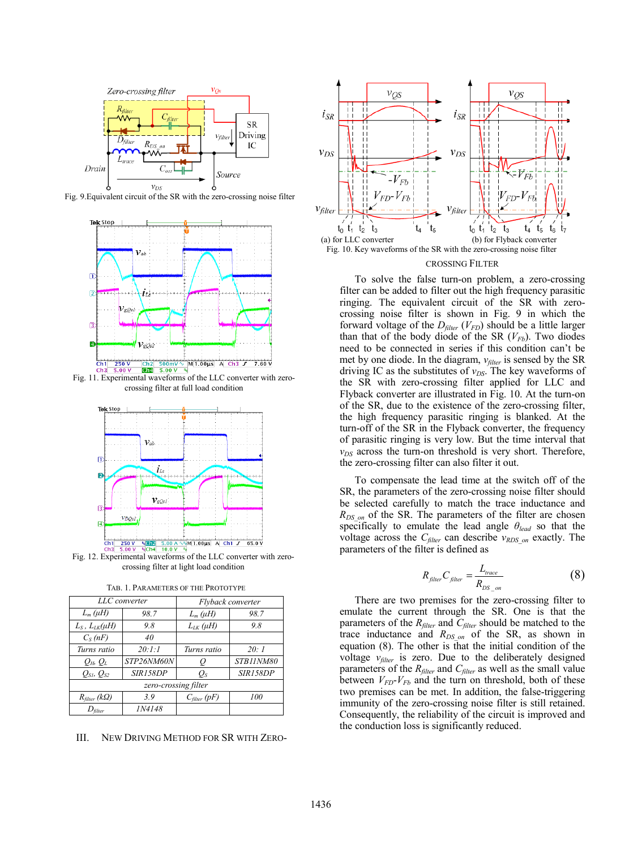

Fig. 9.Equivalent circuit of the SR with the zero-crossing noise filter



crossing filter at full load condition



Fig. 12. Experimental waveforms of the LLC converter with zerocrossing filter at light load condition

| LLC converter              |               | Flyback converter |           |
|----------------------------|---------------|-------------------|-----------|
| $L_m(\mu H)$               | 98.7          | $L_m(\mu H)$      | 98.7      |
| $L_S$ , $L_{LK}(\mu H)$    | 9.8           | $L_{LK}(\mu H)$   | 9.8       |
| $C_S(nF)$                  | 40            |                   |           |
| Turns ratio                | 20:1:1        | Turns ratio       | 20:1      |
| $Q_H$ , $Q_L$              | STP26NM60N    | Ò                 | STB11NM80 |
| $Q_{S1}$ , $Q_{S2}$        | SIR158DP      | $Q_{S}$           | SIR158DP  |
| zero-crossing filter       |               |                   |           |
| $R_{filter}$ (k $\Omega$ ) | 3.9           | $C_{filter}$ (pF) | 100       |
| $D_{\text{filter}}$        | <i>IN4148</i> |                   |           |

III. NEW DRIVING METHOD FOR SR WITH ZERO-



#### CROSSING FILTER

To solve the false turn-on problem, a zero-crossing filter can be added to filter out the high frequency parasitic ringing. The equivalent circuit of the SR with zerocrossing noise filter is shown in Fig. 9 in which the forward voltage of the  $D_{filter}$  ( $V_{FD}$ ) should be a little larger than that of the body diode of the SR  $(V_{Fb})$ . Two diodes need to be connected in series if this condition can't be met by one diode. In the diagram,  $v_{filter}$  is sensed by the SR driving IC as the substitutes of  $v_{DS}$ . The key waveforms of the SR with zero-crossing filter applied for LLC and Flyback converter are illustrated in Fig. 10. At the turn-on of the SR, due to the existence of the zero-crossing filter, the high frequency parasitic ringing is blanked. At the turn-off of the SR in the Flyback converter, the frequency of parasitic ringing is very low. But the time interval that  $v_{DS}$  across the turn-on threshold is very short. Therefore, the zero-crossing filter can also filter it out.

To compensate the lead time at the switch off of the SR, the parameters of the zero-crossing noise filter should be selected carefully to match the trace inductance and *R<sub>DS on</sub>* of the SR. The parameters of the filter are chosen specifically to emulate the lead angle *θlead* so that the voltage across the *C<sub>filter</sub>* can describe  $v_{RDS\text{ on}}$  exactly. The parameters of the filter is defined as

$$
R_{\text{filter}}C_{\text{filter}} = \frac{L_{\text{trace}}}{R_{DS \text{on}}} \tag{8}
$$

There are two premises for the zero-crossing filter to emulate the current through the SR. One is that the parameters of the *R<sub>filter</sub>* and *C<sub>filter</sub>* should be matched to the trace inductance and  $R_{DS\text{on}}$  of the SR, as shown in equation (8). The other is that the initial condition of the voltage  $v_{filter}$  is zero. Due to the deliberately designed parameters of the *R<sub>filter</sub>* and *C<sub>filter</sub>* as well as the small value between  $V_{FD}$ - $V_{Fb}$  and the turn on threshold, both of these two premises can be met. In addition, the false-triggering immunity of the zero-crossing noise filter is still retained. Consequently, the reliability of the circuit is improved and the conduction loss is significantly reduced.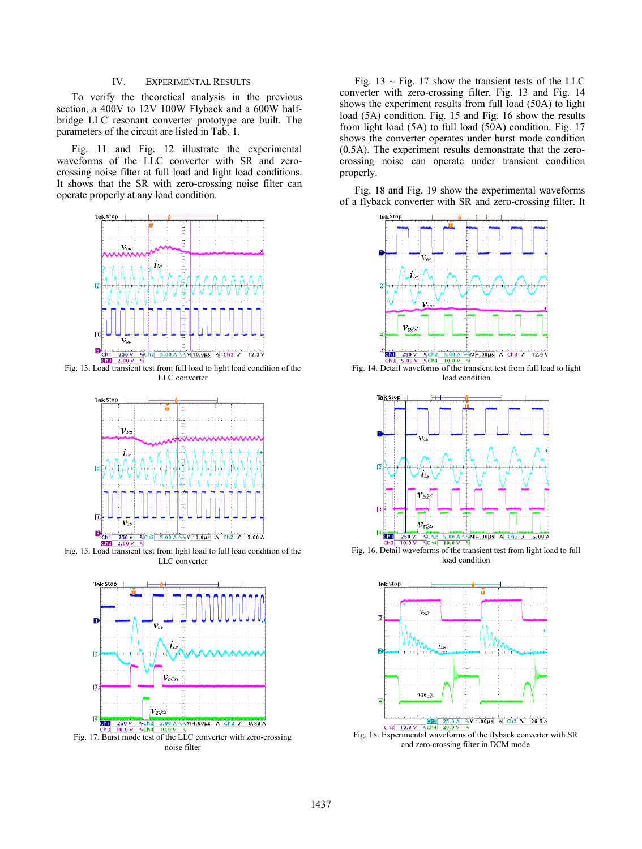## IV. EXPERIMENTAL RESULTS

To verify the theoretical analysis in the previous section, a 400V to 12V 100W Flyback and a 600W halfbridge LLC resonant converter prototype are built. The parameters of the circuit are listed in Tab. 1.

Fig. 11 and Fig. 12 illustrate the experimental waveforms of the LLC converter with SR and zerocrossing noise filter at full load and light load conditions. It shows that the SR with zero-crossing noise filter can operate properly at any load condition.



Fig. 13. Load transient test from full load to light load condition of the LLC converter



Fig. 15. Load transient test from light load to full load condition of the LLC converter



noise filter

Fig.  $13 \sim$  Fig. 17 show the transient tests of the LLC converter with zero-crossing filter. Fig. 13 and Fig. 14 shows the experiment results from full load (50A) to light load (5A) condition. Fig. 15 and Fig. 16 show the results from light load (5A) to full load (50A) condition. Fig. 17 shows the converter operates under burst mode condition (0.5A). The experiment results demonstrate that the zerocrossing noise can operate under transient condition properly.

Fig. 18 and Fig. 19 show the experimental waveforms of a flyback converter with SR and zero-crossing filter. It



Fig. 14. Detail waveforms of the transient test from full load to light load condition



Fig. 16. Detail waveforms of the transient test from light load to full load condition



Fig. 18. Experimental waveforms of the flyback converter with SR and zero-crossing filter in DCM mode